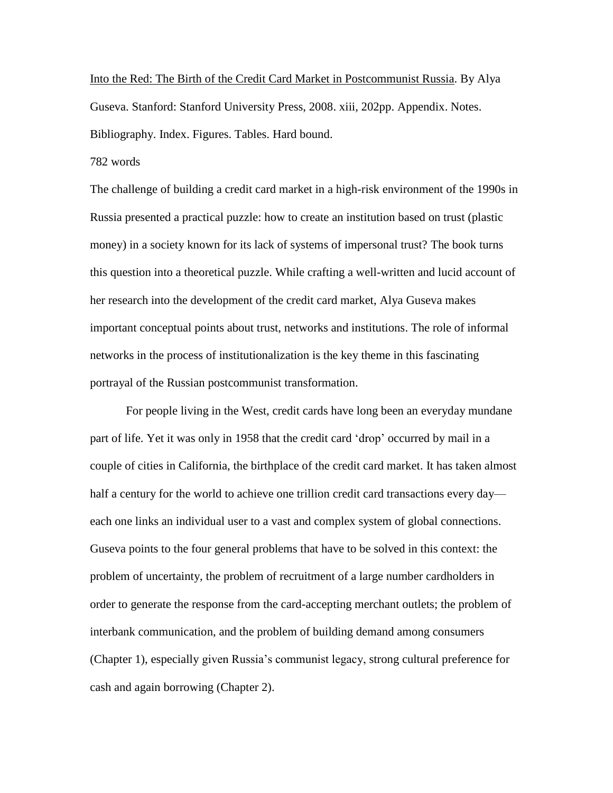Into the Red: The Birth of the Credit Card Market in Postcommunist Russia. By Alya Guseva. Stanford: Stanford University Press, 2008. xiii, 202pp. Appendix. Notes. Bibliography. Index. Figures. Tables. Hard bound.

782 words

The challenge of building a credit card market in a high-risk environment of the 1990s in Russia presented a practical puzzle: how to create an institution based on trust (plastic money) in a society known for its lack of systems of impersonal trust? The book turns this question into a theoretical puzzle. While crafting a well-written and lucid account of her research into the development of the credit card market, Alya Guseva makes important conceptual points about trust, networks and institutions. The role of informal networks in the process of institutionalization is the key theme in this fascinating portrayal of the Russian postcommunist transformation.

For people living in the West, credit cards have long been an everyday mundane part of life. Yet it was only in 1958 that the credit card 'drop' occurred by mail in a couple of cities in California, the birthplace of the credit card market. It has taken almost half a century for the world to achieve one trillion credit card transactions every day each one links an individual user to a vast and complex system of global connections. Guseva points to the four general problems that have to be solved in this context: the problem of uncertainty, the problem of recruitment of a large number cardholders in order to generate the response from the card-accepting merchant outlets; the problem of interbank communication, and the problem of building demand among consumers (Chapter 1), especially given Russia's communist legacy, strong cultural preference for cash and again borrowing (Chapter 2).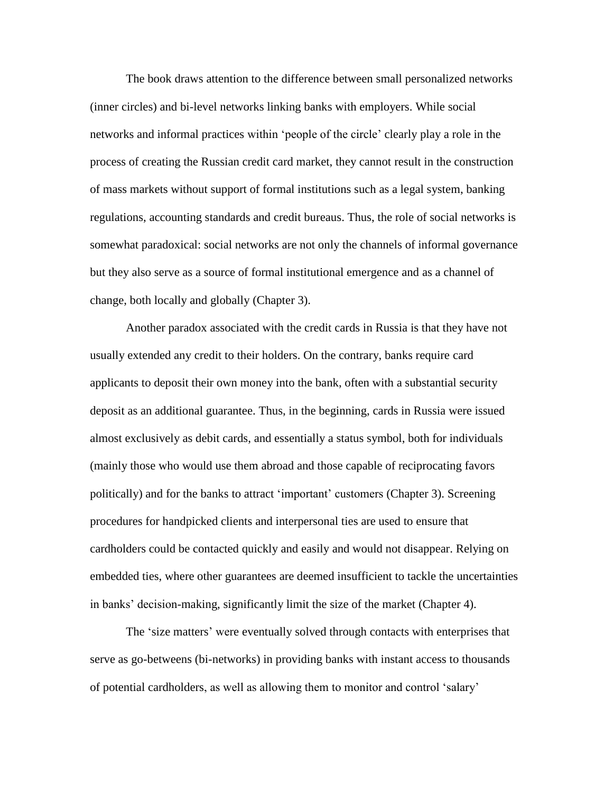The book draws attention to the difference between small personalized networks (inner circles) and bi-level networks linking banks with employers. While social networks and informal practices within 'people of the circle' clearly play a role in the process of creating the Russian credit card market, they cannot result in the construction of mass markets without support of formal institutions such as a legal system, banking regulations, accounting standards and credit bureaus. Thus, the role of social networks is somewhat paradoxical: social networks are not only the channels of informal governance but they also serve as a source of formal institutional emergence and as a channel of change, both locally and globally (Chapter 3).

Another paradox associated with the credit cards in Russia is that they have not usually extended any credit to their holders. On the contrary, banks require card applicants to deposit their own money into the bank, often with a substantial security deposit as an additional guarantee. Thus, in the beginning, cards in Russia were issued almost exclusively as debit cards, and essentially a status symbol, both for individuals (mainly those who would use them abroad and those capable of reciprocating favors politically) and for the banks to attract 'important' customers (Chapter 3). Screening procedures for handpicked clients and interpersonal ties are used to ensure that cardholders could be contacted quickly and easily and would not disappear. Relying on embedded ties, where other guarantees are deemed insufficient to tackle the uncertainties in banks' decision-making, significantly limit the size of the market (Chapter 4).

The 'size matters' were eventually solved through contacts with enterprises that serve as go-betweens (bi-networks) in providing banks with instant access to thousands of potential cardholders, as well as allowing them to monitor and control 'salary'